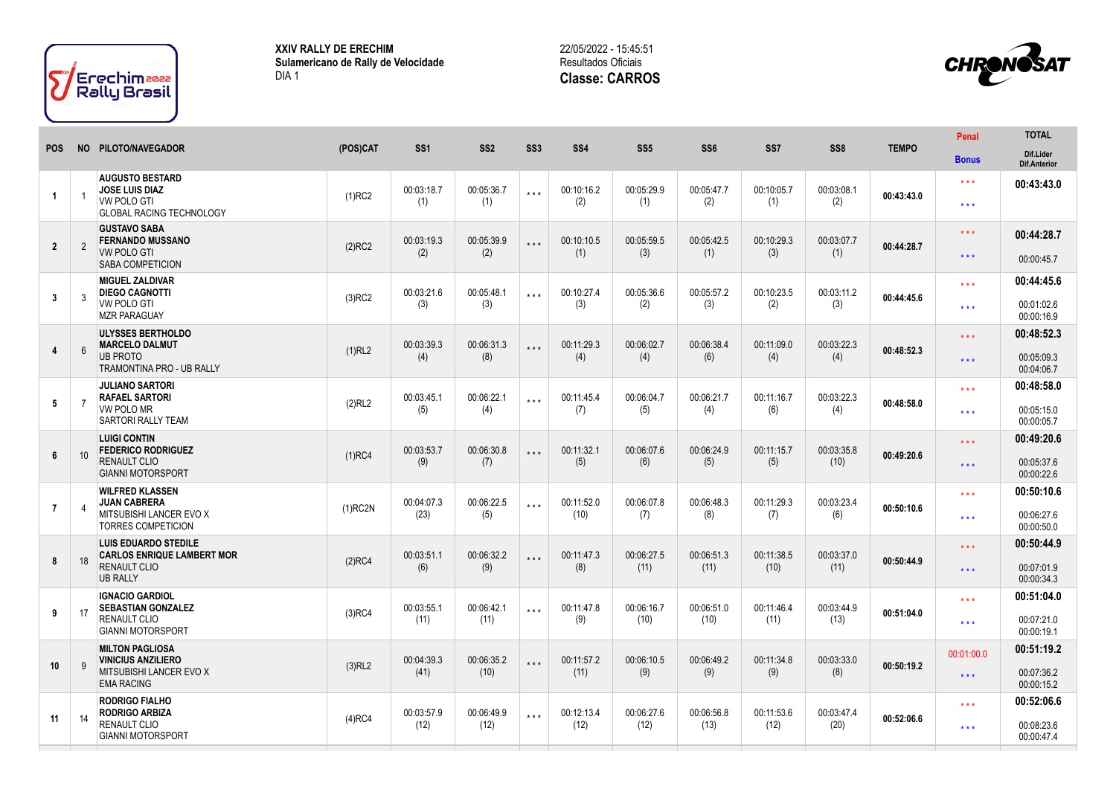

**XXIV RALLY DE ERECHIM Sulamericano de Rally de Velocidade** DIA 1

## 22/05/2022 - 15:45:51 Resultados Oficiais **Classe: CARROS**



|                |                 |                                                                  |            |                 |                 |                 |                 |                 |                 |            | SS <sub>8</sub> |              | <b>Penal</b>            | <b>TOTAL</b>                     |
|----------------|-----------------|------------------------------------------------------------------|------------|-----------------|-----------------|-----------------|-----------------|-----------------|-----------------|------------|-----------------|--------------|-------------------------|----------------------------------|
| <b>POS</b>     |                 | NO PILOTO/NAVEGADOR                                              | (POS)CAT   | SS <sub>1</sub> | SS <sub>2</sub> | SS <sub>3</sub> | SS <sub>4</sub> | SS <sub>5</sub> | SS <sub>6</sub> | SS7        |                 | <b>TEMPO</b> | <b>Bonus</b>            | Dif.Lider<br><b>Dif.Anterior</b> |
|                |                 | <b>AUGUSTO BESTARD</b><br><b>JOSE LUIS DIAZ</b>                  |            | 00:03:18.7      | 00:05:36.7      | $***$           | 00:10:16.2      | 00:05:29.9      | 00:05:47.7      | 00:10:05.7 | 00:03:08.1      |              | $\star$ $\star$ $\star$ | 00:43:43.0                       |
| $\overline{1}$ |                 | <b>VW POLO GTI</b><br><b>GLOBAL RACING TECHNOLOGY</b>            | $(1)$ RC2  | (1)             | (1)             |                 | (2)             | (1)             | (2)             | (1)        | (2)             | 00:43:43.0   | $***$                   |                                  |
|                |                 | <b>GUSTAVO SABA</b><br><b>FERNANDO MUSSANO</b>                   |            | 00:03:19.3      | 00:05:39.9      | $* * *$         | 00:10:10.5      | 00:05:59.5      | 00:05:42.5      | 00:10:29.3 | 00:03:07.7      |              | $***$                   | 00:44:28.7                       |
| $\overline{2}$ | $\overline{2}$  | <b>VW POLO GTI</b><br><b>SABA COMPETICION</b>                    | $(2)$ RC2  | (2)             | (2)             |                 | (1)             | (3)             | (1)             | (3)        | (1)             | 00:44:28.7   | $***$                   | 00:00:45.7                       |
|                |                 | <b>MIGUEL ZALDIVAR</b><br><b>DIEGO CAGNOTTI</b>                  |            | 00:03:21.6      | 00:05:48.1      |                 | 00:10:27.4      | 00:05:36.6      | 00:05:57.2      | 00:10:23.5 | 00:03:11.2      |              | $***$                   | 00:44:45.6                       |
| 3              | 3               | <b>VW POLO GTI</b><br><b>MZR PARAGUAY</b>                        | $(3)$ RC2  | (3)             | (3)             | $***$           | (3)             | (2)             | (3)             | (2)        | (3)             | 00:44:45.6   | $***$                   | 00:01:02.6<br>00:00:16.9         |
|                |                 | <b>ULYSSES BERTHOLDO</b><br><b>MARCELO DALMUT</b>                |            | 00:03:39.3      | 00:06:31.3      |                 | 00:11:29.3      | 00:06:02.7      | 00:06:38.4      | 00:11:09.0 | 00:03:22.3      |              | $* * *$                 | 00:48:52.3                       |
| $\overline{4}$ | $6\overline{6}$ | <b>UB PROTO</b><br><b>TRAMONTINA PRO - UB RALLY</b>              | (1)RL2     | (4)             | (8)             | $* * *$         | (4)             | (4)             | (6)             | (4)        | (4)             | 00:48:52.3   | $***$                   | 00:05:09.3<br>00:04:06.7         |
|                |                 | <b>JULIANO SARTORI</b><br><b>RAFAEL SARTORI</b>                  |            | 00:03:45.1      | 00:06:22.1      |                 | 00:11:45.4      | 00:06:04.7      | 00:06:21.7      | 00:11:16.7 | 00:03:22.3      | 00:48:58.0   | $***$                   | 00:48:58.0                       |
| 5              | $\overline{7}$  | <b>VW POLO MR</b><br><b>SARTORI RALLY TEAM</b>                   | (2)RL2     | (5)             | (4)             | $***$           | (7)             | (5)             | (4)             | (6)        | (4)             |              | $***$                   | 00:05:15.0<br>00:00:05.7         |
|                |                 | <b>LUIGI CONTIN</b><br><b>FEDERICO RODRIGUEZ</b>                 |            | 00:03:53.7      | 00:06:30.8      |                 | 00:11:32.1      | 00:06:07.6      | 00:06:24.9      | 00:11:15.7 | 00:03:35.8      |              | $***$                   | 00:49:20.6                       |
| $6\phantom{1}$ | 10 <sup>1</sup> | RENAULT CLIO<br><b>GIANNI MOTORSPORT</b>                         | $(1)$ RC4  | (9)             | (7)             | $* * *$         | (5)             | (6)             | (5)             | (5)        | (10)            | 00:49:20.6   | $***$                   | 00:05:37.6<br>00:00:22.6         |
|                |                 | <b>WILFRED KLASSEN</b><br><b>JUAN CABRERA</b>                    |            | 00:04:07.3      | 00:06:22.5      |                 | 00:11:52.0      | 00:06:07.8      | 00:06:48.3      | 00:11:29.3 | 00:03:23.4      | 00:50:10.6   | $***$                   | 00:50:10.6                       |
| $\overline{7}$ |                 | MITSUBISHI LANCER EVO X<br><b>TORRES COMPETICION</b>             | $(1)$ RC2N | (23)            | (5)             | $***$           | (10)            | (7)             | (8)             | (7)        | (6)             |              | $***$                   | 00:06:27.6<br>00:00:50.0         |
|                |                 | <b>LUIS EDUARDO STEDILE</b><br><b>CARLOS ENRIQUE LAMBERT MOR</b> |            | 00:03:51.1      | 00:06:32.2      |                 | 00:11:47.3      | 00:06:27.5      | 00:06:51.3      | 00:11:38.5 | 00:03:37.0      |              | $***$                   | 00:50:44.9                       |
| 8              | 18              | <b>RENAULT CLIO</b><br><b>UB RALLY</b>                           | $(2)$ RC4  | (6)             | (9)             | $***$           | (8)             | (11)            | (11)            | (10)       | (11)            | 00:50:44.9   | $***$                   | 00:07:01.9<br>00:00:34.3         |
|                |                 | <b>IGNACIO GARDIOL</b><br><b>SEBASTIAN GONZALEZ</b>              |            | 00:03:55.1      | 00:06:42.1      |                 | 00:11:47.8      | 00:06:16.7      | 00:06:51.0      | 00:11:46.4 | 00:03:44.9      |              | * * *                   | 00:51:04.0                       |
| 9              | 17              | <b>RENAULT CLIO</b><br><b>GIANNI MOTORSPORT</b>                  | $(3)$ RC4  | (11)            | (11)            | $***$           | (9)             | (10)            | (10)            | (11)       | (13)            | 00:51:04.0   | $***$                   | 00:07:21.0<br>00:00:19.1         |
|                |                 | <b>MILTON PAGLIOSA</b><br><b>VINICIUS ANZILIERO</b>              |            | 00:04:39.3      | 00:06:35.2      |                 | 00:11:57.2      | 00:06:10.5      | 00:06:49.2      | 00:11:34.8 | 00:03:33.0      |              | 00:01:00.0              | 00:51:19.2                       |
| 10             | 9               | MITSUBISHI LANCER EVO X<br><b>EMA RACING</b>                     | (3)RL2     | (41)            | (10)            | $***$           | (11)            | (9)             | (9)             | (9)        | (8)             | 00:50:19.2   | $***$                   | 00:07:36.2<br>00:00:15.2         |
|                |                 | <b>RODRIGO FIALHO</b><br><b>RODRIGO ARBIZA</b>                   |            | 00:03:57.9      | 00:06:49.9      |                 | 00:12:13.4      | 00:06:27.6      | 00:06:56.8      | 00:11:53.6 | 00:03:47.4      |              | $***$                   | 00:52:06.6                       |
| 11             | 14              | <b>RENAULT CLIO</b><br><b>GIANNI MOTORSPORT</b>                  | $(4)$ RC4  | (12)            | (12)            | $***$           | (12)            | (12)            | (13)            | (12)       | (20)            | 00:52:06.6   | $***$                   | 00:08:23.6<br>00:00:47.4         |
|                |                 |                                                                  |            |                 |                 |                 |                 |                 |                 |            |                 |              |                         |                                  |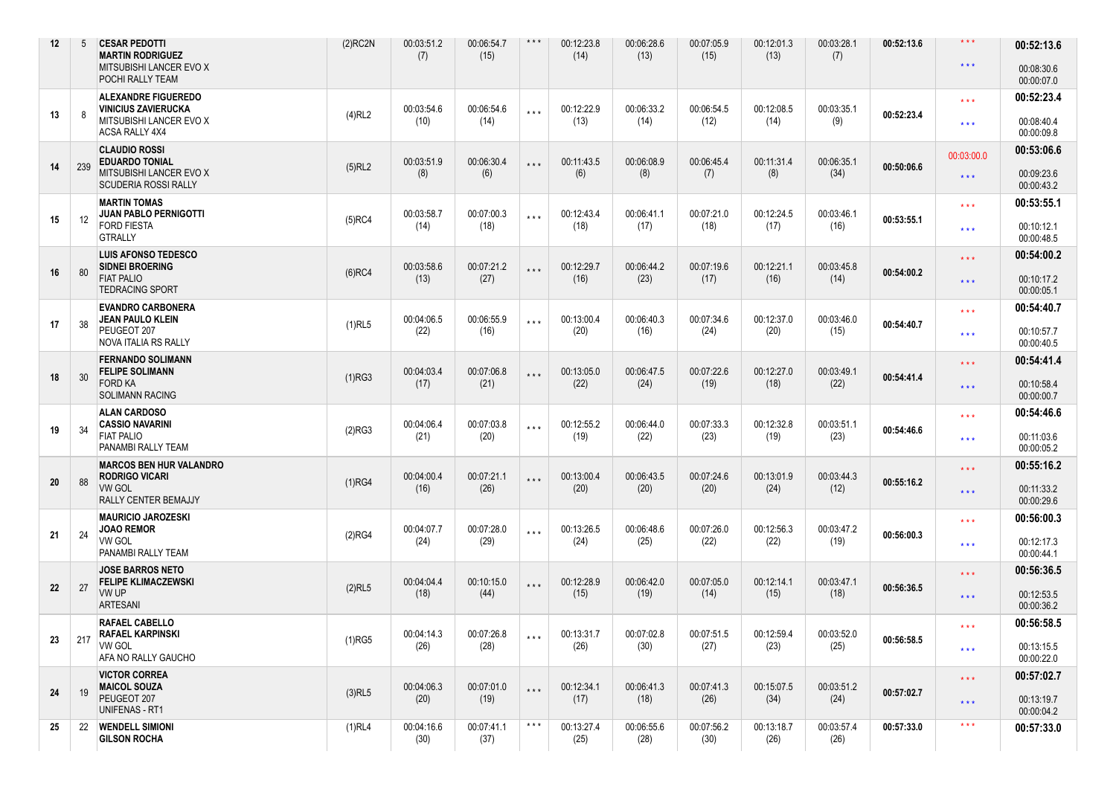| 12 | 5   | <b>CESAR PEDOTTI</b><br><b>MARTIN RODRIGUEZ</b><br>MITSUBISHI LANCER EVO X<br>POCHI RALLY TEAM          | $(2)$ RC2N | 00:03:51.2<br>(7)  | 00:06:54.7<br>(15) | $***$                   | 00:12:23.8<br>(14) | 00:06:28.6<br>(13) | 00:07:05.9<br>(15) | 00:12:01.3<br>(13) | 00:03:28.1<br>(7)  | 00:52:13.6 | $\star$ $\star$ $\star$<br>$\star$ $\star$ $\star$ | 00:52:13.6<br>00:08:30.6<br>00:00:07.0 |
|----|-----|---------------------------------------------------------------------------------------------------------|------------|--------------------|--------------------|-------------------------|--------------------|--------------------|--------------------|--------------------|--------------------|------------|----------------------------------------------------|----------------------------------------|
| 13 | -8  | <b>ALEXANDRE FIGUEREDO</b><br><b>VINICIUS ZAVIERUCKA</b><br>MITSUBISHI LANCER EVO X<br>ACSA RALLY 4X4   | (4)RL2     | 00:03:54.6<br>(10) | 00:06:54.6<br>(14) | $***$                   | 00:12:22.9<br>(13) | 00:06:33.2<br>(14) | 00:06:54.5<br>(12) | 00:12:08.5<br>(14) | 00:03:35.1<br>(9)  | 00:52:23.4 | $* * *$<br>$\star$ $\star$ $\star$                 | 00:52:23.4<br>00:08:40.4<br>00:00:09.8 |
| 14 | 239 | <b>CLAUDIO ROSSI</b><br><b>EDUARDO TONIAL</b><br>MITSUBISHI LANCER EVO X<br><b>SCUDERIA ROSSI RALLY</b> | (5)RL2     | 00:03:51.9<br>(8)  | 00:06:30.4<br>(6)  | $***$                   | 00:11:43.5<br>(6)  | 00:06:08.9<br>(8)  | 00:06:45.4<br>(7)  | 00:11:31.4<br>(8)  | 00:06:35.1<br>(34) | 00:50:06.6 | 00:03:00.0<br>$\star\star\star$                    | 00:53:06.6<br>00:09:23.6<br>00:00:43.2 |
| 15 | 12  | <b>MARTIN TOMAS</b><br><b>JUAN PABLO PERNIGOTTI</b><br>FORD FIESTA<br><b>GTRALLY</b>                    | $(5)$ RC4  | 00:03:58.7<br>(14) | 00:07:00.3<br>(18) | $***$                   | 00:12:43.4<br>(18) | 00:06:41.1<br>(17) | 00:07:21.0<br>(18) | 00:12:24.5<br>(17) | 00:03:46.1<br>(16) | 00:53:55.1 | $* * *$<br>$***$                                   | 00:53:55.1<br>00:10:12.1<br>00:00:48.5 |
| 16 | 80  | <b>LUIS AFONSO TEDESCO</b><br><b>SIDNEI BROERING</b><br><b>FIAT PALIO</b><br><b>TEDRACING SPORT</b>     | $(6)$ RC4  | 00:03:58.6<br>(13) | 00:07:21.2<br>(27) | $***$                   | 00:12:29.7<br>(16) | 00:06:44.2<br>(23) | 00:07:19.6<br>(17) | 00:12:21.1<br>(16) | 00:03:45.8<br>(14) | 00:54:00.2 | $***$<br>$***$                                     | 00:54:00.2<br>00:10:17.2<br>00:00:05.1 |
| 17 | 38  | <b>EVANDRO CARBONERA</b><br><b>JEAN PAULO KLEIN</b><br>PEUGEOT 207<br>NOVA ITALIA RS RALLY              | $(1)$ RL5  | 00:04:06.5<br>(22) | 00:06:55.9<br>(16) | $***$                   | 00:13:00.4<br>(20) | 00:06:40.3<br>(16) | 00:07:34.6<br>(24) | 00:12:37.0<br>(20) | 00:03:46.0<br>(15) | 00:54:40.7 | $* * *$<br>$***$                                   | 00:54:40.7<br>00:10:57.7<br>00:00:40.5 |
| 18 | 30  | <b>FERNANDO SOLIMANN</b><br><b>FELIPE SOLIMANN</b><br><b>FORD KA</b><br><b>SOLIMANN RACING</b>          | (1)RG3     | 00:04:03.4<br>(17) | 00:07:06.8<br>(21) | $* * *$                 | 00:13:05.0<br>(22) | 00:06:47.5<br>(24) | 00:07:22.6<br>(19) | 00:12:27.0<br>(18) | 00:03:49.1<br>(22) | 00:54:41.4 | $***$<br>$***$                                     | 00:54:41.4<br>00:10:58.4<br>00:00:00.7 |
| 19 | 34  | <b>ALAN CARDOSO</b><br><b>CASSIO NAVARINI</b><br><b>FIAT PALIO</b><br>PANAMBI RALLY TEAM                | (2)RG3     | 00:04:06.4<br>(21) | 00:07:03.8<br>(20) | $***$                   | 00:12:55.2<br>(19) | 00:06:44.0<br>(22) | 00:07:33.3<br>(23) | 00:12:32.8<br>(19) | 00:03:51.1<br>(23) | 00:54:46.6 | $***$<br>$***$                                     | 00:54:46.6<br>00:11:03.6<br>00:00:05.2 |
| 20 | 88  | <b>MARCOS BEN HUR VALANDRO</b><br><b>RODRIGO VICARI</b><br><b>VW GOL</b><br>RALLY CENTER BEMAJJY        | $(1)$ RG4  | 00:04:00.4<br>(16) | 00:07:21.1<br>(26) | $* * *$                 | 00:13:00.4<br>(20) | 00:06:43.5<br>(20) | 00:07:24.6<br>(20) | 00:13:01.9<br>(24) | 00:03:44.3<br>(12) | 00:55:16.2 | $***$<br>$***$                                     | 00:55:16.2<br>00:11:33.2<br>00:00:29.6 |
| 21 | 24  | <b>MAURICIO JAROZESKI</b><br><b>JOAO REMOR</b><br><b>VW GOL</b><br>PANAMBI RALLY TEAM                   | (2)RG4     | 00:04:07.7<br>(24) | 00:07:28.0<br>(29) | $***$                   | 00:13:26.5<br>(24) | 00:06:48.6<br>(25) | 00:07:26.0<br>(22) | 00:12:56.3<br>(22) | 00:03:47.2<br>(19) | 00:56:00.3 | $***$<br>$***$                                     | 00:56:00.3<br>00:12:17.3<br>00:00:44.1 |
| 22 | 27  | <b>JOSE BARROS NETO</b><br><b>FELIPE KLIMACZEWSKI</b><br>VW UP<br><b>ARTESANI</b>                       | (2)RL5     | 00:04:04.4<br>(18) | 00:10:15.0<br>(44) | $***$                   | 00:12:28.9<br>(15) | 00:06:42.0<br>(19) | 00:07:05.0<br>(14) | 00:12:14.1<br>(15) | 00:03:47.1<br>(18) | 00:56:36.5 | $***$<br>$***$                                     | 00:56:36.5<br>00:12:53.5<br>00:00:36.2 |
| 23 | 217 | <b>RAFAEL CABELLO</b><br><b>RAFAEL KARPINSKI</b><br>VW GOL<br>AFA NO RALLY GAUCHO                       | $(1)$ RG5  | 00:04:14.3<br>(26) | 00:07:26.8<br>(28) | $\star$ $\star$ $\star$ | 00:13:31.7<br>(26) | 00:07:02.8<br>(30) | 00:07:51.5<br>(27) | 00:12:59.4<br>(23) | 00:03:52.0<br>(25) | 00:56:58.5 | $* * *$<br>$***$                                   | 00:56:58.5<br>00:13:15.5<br>00:00:22.0 |
| 24 | 19  | <b>VICTOR CORREA</b><br><b>MAICOL SOUZA</b><br>PEUGEOT 207<br>UNIFENAS - RT1                            | $(3)$ RL5  | 00:04:06.3<br>(20) | 00:07:01.0<br>(19) | $***$                   | 00:12:34.1<br>(17) | 00:06:41.3<br>(18) | 00:07:41.3<br>(26) | 00:15:07.5<br>(34) | 00:03:51.2<br>(24) | 00:57:02.7 | $***$<br>$* * *$                                   | 00:57:02.7<br>00:13:19.7<br>00:00:04.2 |
| 25 | 22  | <b>WENDELL SIMIONI</b><br><b>GILSON ROCHA</b>                                                           | (1)RL4     | 00:04:16.6<br>(30) | 00:07:41.1<br>(37) | $***$                   | 00:13:27.4<br>(25) | 00:06:55.6<br>(28) | 00:07:56.2<br>(30) | 00:13:18.7<br>(26) | 00:03:57.4<br>(26) | 00:57:33.0 | $\star$ $\star$ $\star$                            | 00:57:33.0                             |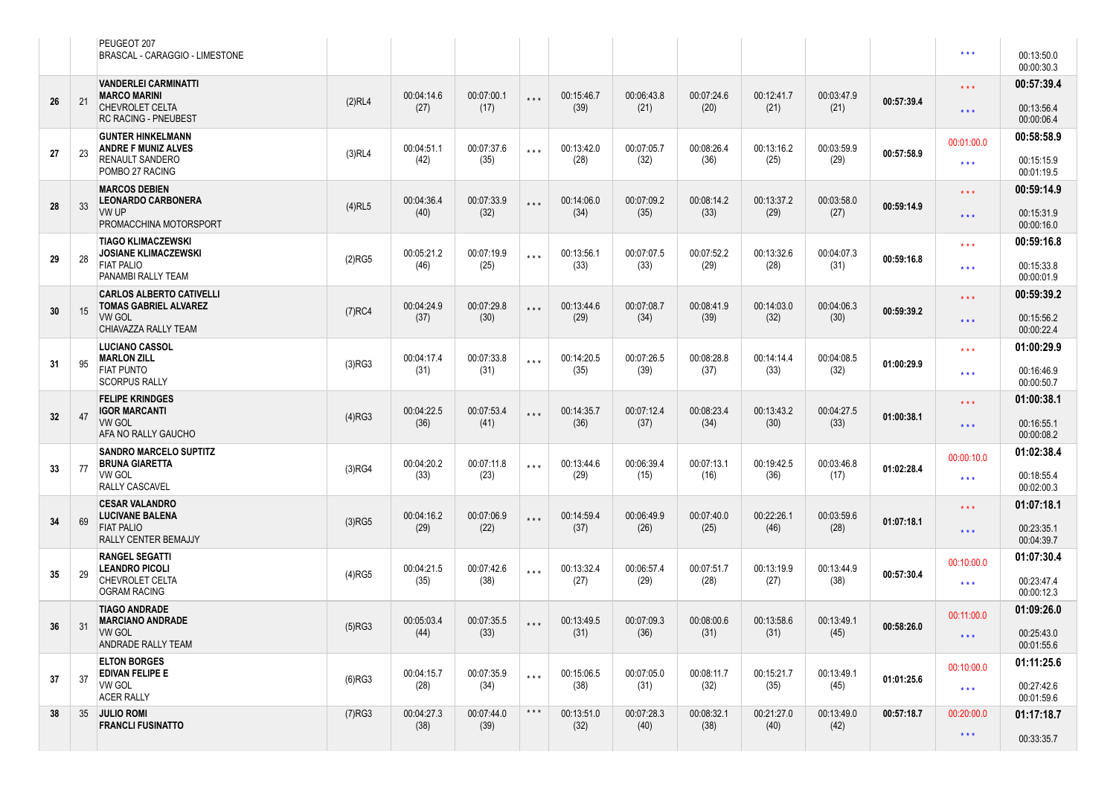|    |    | PEUGEOT 207<br>BRASCAL - CARAGGIO - LIMESTONE                   |           |                    |                    |                         |                    |                    |                    |                    |                    |            | $\star$ $\star$ $\star$ | 00:13:50.0<br>00:00:30.3 |
|----|----|-----------------------------------------------------------------|-----------|--------------------|--------------------|-------------------------|--------------------|--------------------|--------------------|--------------------|--------------------|------------|-------------------------|--------------------------|
|    |    | <b>VANDERLEI CARMINATTI</b><br><b>MARCO MARINI</b>              |           | 00:04:14.6         | 00:07:00.1         | $* * *$                 | 00:15:46.7         | 00:06:43.8         | 00:07:24.6         | 00:12:41.7         | 00:03:47.9         |            | $***$                   | 00:57:39.4               |
| 26 | 21 | <b>CHEVROLET CELTA</b><br>RC RACING - PNEUBEST                  | (2)RL4    | (27)               | (17)               |                         | (39)               | (21)               | (20)               | (21)               | (21)               | 00:57:39.4 | $\star$ $\star$ $\star$ | 00:13:56.4<br>00:00:06.4 |
|    |    | <b>GUNTER HINKELMANN</b><br>ANDRE F MUNIZ ALVES                 |           | 00:04:51.1         | 00:07:37.6         | $***$                   | 00:13:42.0         | 00:07:05.7         | 00:08:26.4         | 00:13:16.2         | 00:03:59.9         |            | 00:01:00.0              | 00:58:58.9               |
| 27 | 23 | RENAULT SANDERO<br>POMBO 27 RACING                              | (3)RL4    | (42)               | (35)               |                         | (28)               | (32)               | (36)               | (25)               | (29)               | 00:57:58.9 | $***$                   | 00:15:15.9<br>00:01:19.5 |
|    |    | <b>MARCOS DEBIEN</b><br><b>LEONARDO CARBONERA</b>               |           | 00:04:36.4         | 00:07:33.9         | $***$                   | 00:14:06.0         | 00:07:09.2         | 00:08:14.2         | 00:13:37.2         | 00:03:58.0         |            | $***$                   | 00:59:14.9               |
| 28 | 33 | VW UP<br>PROMACCHINA MOTORSPORT                                 | $(4)$ RL5 | (40)               | (32)               |                         | (34)               | (35)               | (33)               | (29)               | (27)               | 00:59:14.9 | $\star$ $\star$ $\star$ | 00:15:31.9<br>00:00:16.0 |
|    |    | <b>TIAGO KLIMACZEWSKI</b><br><b>JOSIANE KLIMACZEWSKI</b>        |           | 00:05:21.2         | 00:07:19.9         | $***$                   | 00:13:56.1         | 00:07:07.5         | 00:07:52.2         | 00:13:32.6         | 00:04:07.3         |            | $***$                   | 00:59:16.8               |
| 29 | 28 | <b>FIAT PALIO</b><br>PANAMBI RALLY TEAM                         | $(2)$ RG5 | (46)               | (25)               |                         | (33)               | (33)               | (29)               | (28)               | (31)               | 00:59:16.8 | $\star$ $\star$ $\star$ | 00:15:33.8<br>00:00:01.9 |
|    |    | <b>CARLOS ALBERTO CATIVELLI</b><br><b>TOMAS GABRIEL ALVAREZ</b> |           | 00:04:24.9         | 00:07:29.8         | $* * *$                 | 00:13:44.6         | 00:07:08.7         | 00:08:41.9         | 00:14:03.0         | 00:04:06.3         |            | $***$                   | 00:59:39.2               |
| 30 | 15 | <b>VW GOL</b><br>CHIAVAZZA RALLY TEAM                           | $(7)$ RC4 | (37)               | (30)               |                         | (29)               | (34)               | (39)               | (32)               | (30)               | 00:59:39.2 | $* * *$                 | 00:15:56.2<br>00:00:22.4 |
|    |    | <b>LUCIANO CASSOL</b><br><b>MARLON ZILL</b>                     |           | 00:04:17.4         | 00:07:33.8         | $***$                   | 00:14:20.5         | 00:07:26.5         | 00:08:28.8         | 00:14:14.4         | 00:04:08.5         |            | $***$                   | 01:00:29.9               |
| 31 | 95 | <b>FIAT PUNTO</b><br><b>SCORPUS RALLY</b>                       | (3)RG3    | (31)               | (31)               |                         | (35)               | (39)               | (37)               | (33)               | (32)               | 01:00:29.9 | $\star$ $\star$ $\star$ | 00:16:46.9<br>00:00:50.7 |
|    |    | <b>FELIPE KRINDGES</b><br><b>IGOR MARCANTI</b>                  |           | 00:04:22.5         | 00:07:53.4         | $***$                   | 00:14:35.7         | 00:07:12.4         | 00:08:23.4         | 00:13:43.2         | 00:04:27.5         |            | $***$                   | 01:00:38.1               |
| 32 | 47 | <b>VW GOL</b><br>AFA NO RALLY GAUCHO                            | $(4)$ RG3 | (36)               | (41)               |                         | (36)               | (37)               | (34)               | (30)               | (33)               | 01:00:38.1 | $* * *$                 | 00:16:55.1<br>00:00:08.2 |
|    |    | <b>SANDRO MARCELO SUPTITZ</b><br><b>BRUNA GIARETTA</b>          |           | 00:04:20.2         | 00:07:11.8         | $* * *$                 | 00:13:44.6         | 00:06:39.4         | 00:07:13.1         | 00:19:42.5         | 00:03:46.8         |            | 00:00:10.0              | 01:02:38.4               |
| 33 | 77 | <b>VW GOL</b><br><b>RALLY CASCAVEL</b>                          | (3)RG4    | (33)               | (23)               |                         | (29)               | (15)               | (16)               | (36)               | (17)               | 01:02:28.4 | $\star\star\star$       | 00:18:55.4<br>00:02:00.3 |
|    |    | <b>CESAR VALANDRO</b><br><b>LUCIVANE BALENA</b>                 |           | 00:04:16.2         | 00:07:06.9         | $***$                   | 00:14:59.4         | 00:06:49.9         | 00:07:40.0         | 00:22:26.1         | 00:03:59.6         |            | $***$                   | 01:07:18.1               |
| 34 | 69 | <b>FIAT PALIO</b><br>RALLY CENTER BEMAJJY                       | $(3)$ RG5 | (29)               | (22)               |                         | (37)               | (26)               | (25)               | (46)               | (28)               | 01:07:18.1 | $* * *$                 | 00:23:35.1<br>00:04:39.7 |
|    |    | <b>RANGEL SEGATTI</b><br><b>LEANDRO PICOLI</b>                  |           | 00:04:21.5         | 00:07:42.6         | $***$                   | 00:13:32.4         | 00:06:57.4         | 00:07:51.7         | 00:13:19.9         | 00:13:44.9         |            | 00:10:00.0              | 01:07:30.4               |
| 35 | 29 | CHEVROLET CELTA<br><b>OGRAM RACING</b>                          | $(4)$ RG5 | (35)               | (38)               |                         | (27)               | (29)               | (28)               | (27)               | (38)               | 00:57:30.4 | $\star\star\star$       | 00:23:47.4<br>00:00:12.3 |
|    |    | <b>TIAGO ANDRADE</b><br><b>MARCIANO ANDRADE</b>                 |           | 00:05:03.4         | 00:07:35.5         | $***$                   | 00:13:49.5         | 00:07:09.3         | 00:08:00.6         | 00:13:58.6         | 00:13:49.1         |            | 00:11:00.0              | 01:09:26.0               |
| 36 | 31 | VW GOL<br>ANDRADE RALLY TEAM                                    | (5)RG3    | (44)               | (33)               |                         | (31)               | (36)               | (31)               | (31)               | (45)               | 00:58:26.0 | $\star\star\star$       | 00:25:43.0<br>00:01:55.6 |
|    |    | <b>ELTON BORGES</b><br>EDIVAN FELIPE E                          |           | 00:04:15.7         | 00:07:35.9         | $\star$ $\star$ $\star$ | 00:15:06.5         | 00:07:05.0         | 00:08:11.7         | 00:15:21.7         | 00:13:49.1         |            | 00:10:00.0              | 01:11:25.6               |
| 37 | 37 | <b>VW GOL</b><br><b>ACER RALLY</b>                              | (6)RG3    | (28)               | (34)               |                         | (38)               | (31)               | (32)               | (35)               | (45)               | 01:01:25.6 | $\star\star\star$       | 00:27:42.6<br>00:01:59.6 |
| 38 |    | 35 JULIO ROMI<br><b>FRANCLI FUSINATTO</b>                       | $(7)$ RG3 | 00:04:27.3<br>(38) | 00:07:44.0<br>(39) | $***$                   | 00:13:51.0<br>(32) | 00:07:28.3<br>(40) | 00:08:32.1<br>(38) | 00:21:27.0<br>(40) | 00:13:49.0<br>(42) | 00:57:18.7 | 00:20:00.0              | 01:17:18.7               |
|    |    |                                                                 |           |                    |                    |                         |                    |                    |                    |                    |                    |            | $\star\star\star$       | 00:33:35.7               |